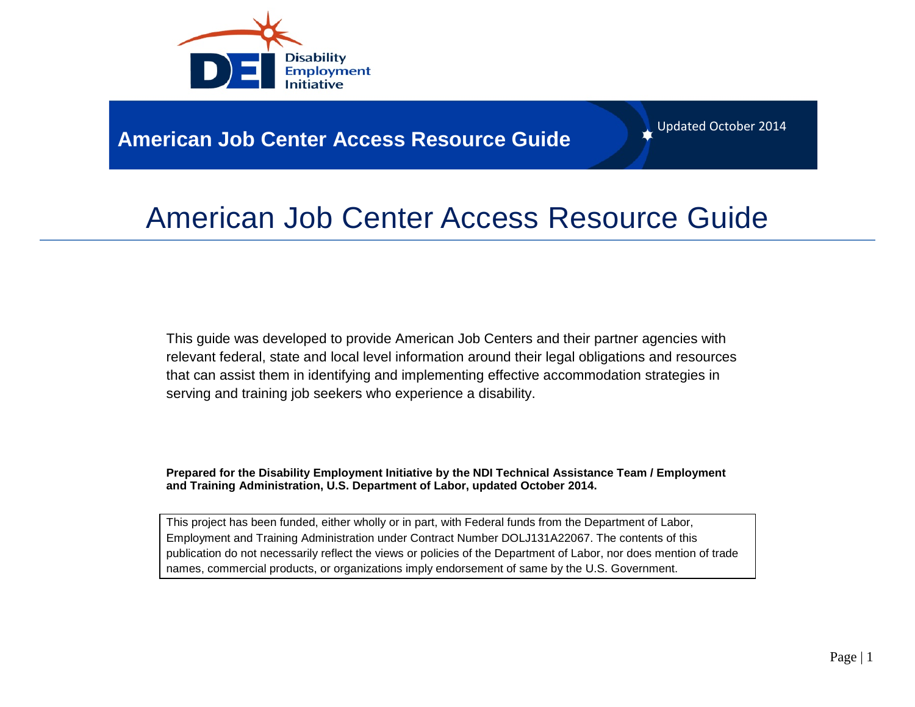

## **American Job Center Access Resource Guide**

Updated October 2014

## American Job Center Access Resource Guide

This guide was developed to provide American Job Centers and their partner agencies with relevant federal, state and local level information around their legal obligations and resources that can assist them in identifying and implementing effective accommodation strategies in serving and training job seekers who experience a disability.

**Prepared for the Disability Employment Initiative by the NDI Technical Assistance Team / Employment and Training Administration, U.S. Department of Labor, updated October 2014.**

This project has been funded, either wholly or in part, with Federal funds from the Department of Labor, Employment and Training Administration under Contract Number DOLJ131A22067. The contents of this publication do not necessarily reflect the views or policies of the Department of Labor, nor does mention of trade names, commercial products, or organizations imply endorsement of same by the U.S. Government.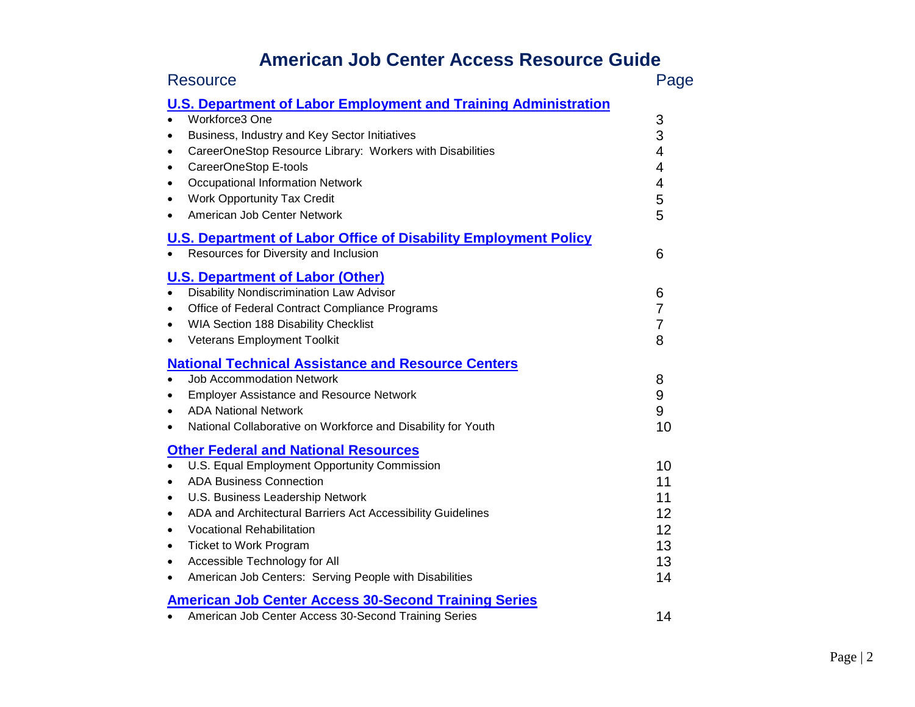## **American Job Center Access Resource Guide**

| <b>Resource</b>                                                                                                                                                                                                                                                                                                                                                                                                                                                        | Page                                         |
|------------------------------------------------------------------------------------------------------------------------------------------------------------------------------------------------------------------------------------------------------------------------------------------------------------------------------------------------------------------------------------------------------------------------------------------------------------------------|----------------------------------------------|
| <b>U.S. Department of Labor Employment and Training Administration</b><br>Workforce3 One<br>Business, Industry and Key Sector Initiatives<br>$\bullet$<br>CareerOneStop Resource Library: Workers with Disabilities<br>CareerOneStop E-tools<br>$\bullet$<br>Occupational Information Network<br>$\bullet$<br><b>Work Opportunity Tax Credit</b><br>American Job Center Network<br>$\bullet$                                                                           | 3<br>3<br>4<br>4<br>4<br>5<br>5              |
| <b>U.S. Department of Labor Office of Disability Employment Policy</b><br>Resources for Diversity and Inclusion                                                                                                                                                                                                                                                                                                                                                        | 6                                            |
| <b>U.S. Department of Labor (Other)</b><br><b>Disability Nondiscrimination Law Advisor</b><br>Office of Federal Contract Compliance Programs<br>٠<br>WIA Section 188 Disability Checklist<br>$\bullet$<br><b>Veterans Employment Toolkit</b><br>$\bullet$                                                                                                                                                                                                              | 6<br>$\overline{7}$<br>$\overline{7}$<br>8   |
| <b>National Technical Assistance and Resource Centers</b><br><b>Job Accommodation Network</b><br><b>Employer Assistance and Resource Network</b><br>$\bullet$<br><b>ADA National Network</b><br>National Collaborative on Workforce and Disability for Youth<br>$\bullet$                                                                                                                                                                                              | 8<br>9<br>9<br>10                            |
| <b>Other Federal and National Resources</b><br>U.S. Equal Employment Opportunity Commission<br><b>ADA Business Connection</b><br>U.S. Business Leadership Network<br>$\bullet$<br>ADA and Architectural Barriers Act Accessibility Guidelines<br>$\bullet$<br><b>Vocational Rehabilitation</b><br>٠<br><b>Ticket to Work Program</b><br>$\bullet$<br>Accessible Technology for All<br>$\bullet$<br>American Job Centers: Serving People with Disabilities<br>$\bullet$ | 10<br>11<br>11<br>12<br>12<br>13<br>13<br>14 |
| <b>American Job Center Access 30-Second Training Series</b><br>American Job Center Access 30-Second Training Series<br>$\bullet$                                                                                                                                                                                                                                                                                                                                       | 14                                           |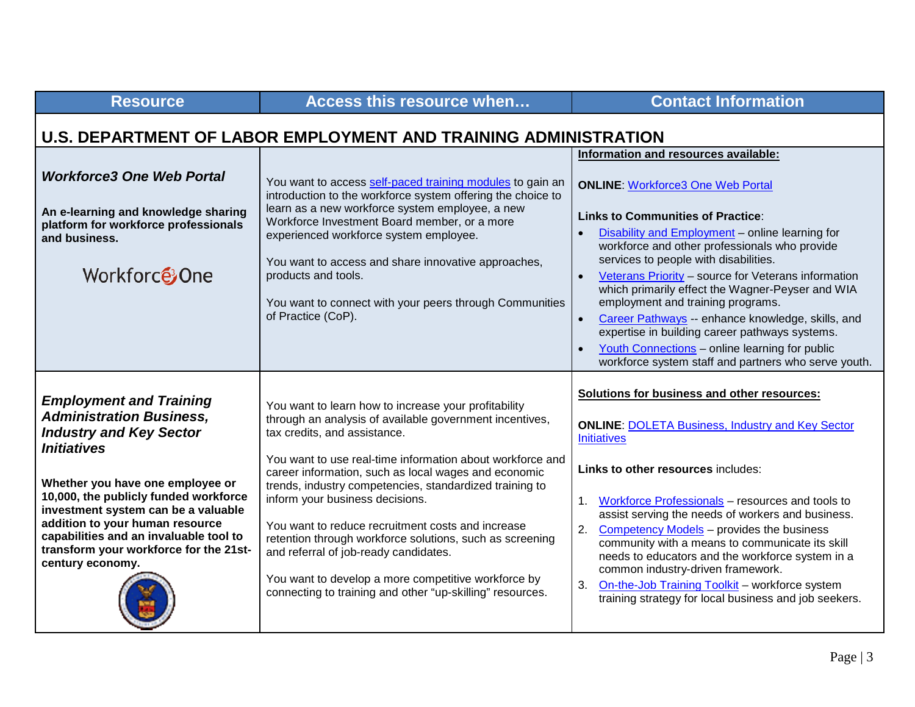<span id="page-2-0"></span>

| <b>Resource</b>                                                                                                                                                                                                                                                                                                                                                                          | <b>Access this resource when</b>                                                                                                                                                                                                                                                                                                                                                                                                                                                                                                                                                                                                                 | <b>Contact Information</b>                                                                                                                                                                                                                                                                                                                                                                                                                                                                                                                                                                         |
|------------------------------------------------------------------------------------------------------------------------------------------------------------------------------------------------------------------------------------------------------------------------------------------------------------------------------------------------------------------------------------------|--------------------------------------------------------------------------------------------------------------------------------------------------------------------------------------------------------------------------------------------------------------------------------------------------------------------------------------------------------------------------------------------------------------------------------------------------------------------------------------------------------------------------------------------------------------------------------------------------------------------------------------------------|----------------------------------------------------------------------------------------------------------------------------------------------------------------------------------------------------------------------------------------------------------------------------------------------------------------------------------------------------------------------------------------------------------------------------------------------------------------------------------------------------------------------------------------------------------------------------------------------------|
| U.S. DEPARTMENT OF LABOR EMPLOYMENT AND TRAINING ADMINISTRATION                                                                                                                                                                                                                                                                                                                          |                                                                                                                                                                                                                                                                                                                                                                                                                                                                                                                                                                                                                                                  |                                                                                                                                                                                                                                                                                                                                                                                                                                                                                                                                                                                                    |
|                                                                                                                                                                                                                                                                                                                                                                                          |                                                                                                                                                                                                                                                                                                                                                                                                                                                                                                                                                                                                                                                  | Information and resources available:                                                                                                                                                                                                                                                                                                                                                                                                                                                                                                                                                               |
| <b>Workforce3 One Web Portal</b><br>An e-learning and knowledge sharing<br>platform for workforce professionals<br>and business.<br>Workforce One                                                                                                                                                                                                                                        | You want to access self-paced training modules to gain an<br>introduction to the workforce system offering the choice to<br>learn as a new workforce system employee, a new<br>Workforce Investment Board member, or a more<br>experienced workforce system employee.<br>You want to access and share innovative approaches,<br>products and tools.<br>You want to connect with your peers through Communities<br>of Practice (CoP).                                                                                                                                                                                                             | <b>ONLINE: Workforce3 One Web Portal</b><br><b>Links to Communities of Practice:</b><br>Disability and Employment - online learning for<br>workforce and other professionals who provide<br>services to people with disabilities.<br>Veterans Priority - source for Veterans information<br>which primarily effect the Wagner-Peyser and WIA<br>employment and training programs.<br>Career Pathways -- enhance knowledge, skills, and<br>expertise in building career pathways systems.<br>Youth Connections - online learning for public<br>workforce system staff and partners who serve youth. |
| <b>Employment and Training</b><br><b>Administration Business,</b><br><b>Industry and Key Sector</b><br><b>Initiatives</b><br>Whether you have one employee or<br>10,000, the publicly funded workforce<br>investment system can be a valuable<br>addition to your human resource<br>capabilities and an invaluable tool to<br>transform your workforce for the 21st-<br>century economy. | You want to learn how to increase your profitability<br>through an analysis of available government incentives,<br>tax credits, and assistance.<br>You want to use real-time information about workforce and<br>career information, such as local wages and economic<br>trends, industry competencies, standardized training to<br>inform your business decisions.<br>You want to reduce recruitment costs and increase<br>retention through workforce solutions, such as screening<br>and referral of job-ready candidates.<br>You want to develop a more competitive workforce by<br>connecting to training and other "up-skilling" resources. | Solutions for business and other resources:<br><b>ONLINE: DOLETA Business, Industry and Key Sector</b><br><b>Initiatives</b><br>Links to other resources includes:<br>Workforce Professionals - resources and tools to<br>1.<br>assist serving the needs of workers and business.<br>2.<br>Competency Models - provides the business<br>community with a means to communicate its skill<br>needs to educators and the workforce system in a<br>common industry-driven framework.<br>On-the-Job Training Toolkit - workforce system<br>3.<br>training strategy for local business and job seekers.  |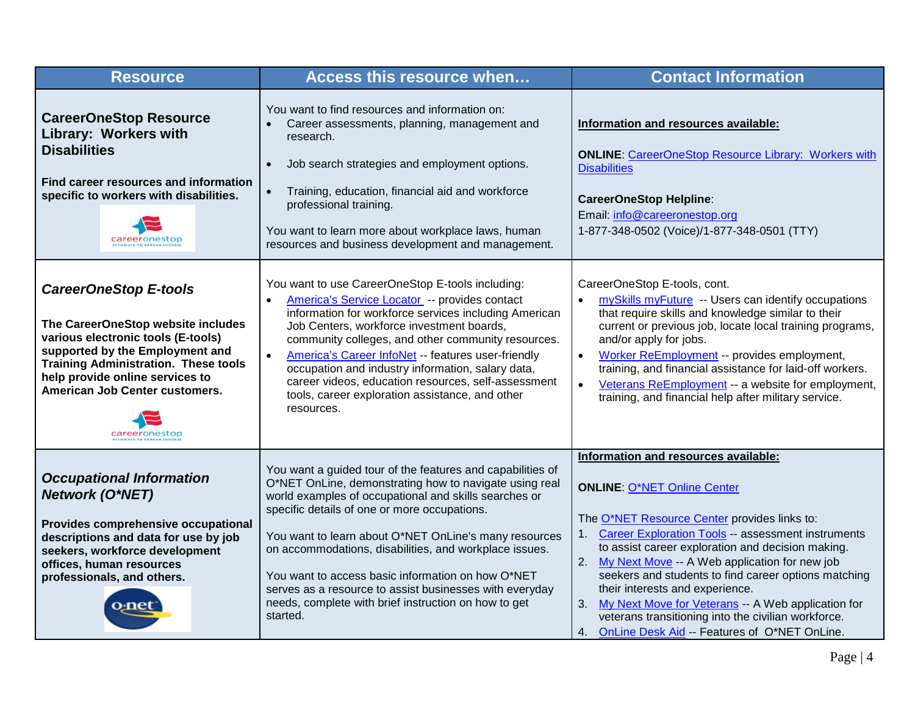| <b>Resource</b>                                                                                                                                                                                                                                                                  | Access this resource when                                                                                                                                                                                                                                                                                                                                                                                                                                                                                                            | <b>Contact Information</b>                                                                                                                                                                                                                                                                                                                                                                                                                                                                                                                                       |
|----------------------------------------------------------------------------------------------------------------------------------------------------------------------------------------------------------------------------------------------------------------------------------|--------------------------------------------------------------------------------------------------------------------------------------------------------------------------------------------------------------------------------------------------------------------------------------------------------------------------------------------------------------------------------------------------------------------------------------------------------------------------------------------------------------------------------------|------------------------------------------------------------------------------------------------------------------------------------------------------------------------------------------------------------------------------------------------------------------------------------------------------------------------------------------------------------------------------------------------------------------------------------------------------------------------------------------------------------------------------------------------------------------|
| <b>CareerOneStop Resource</b><br>Library: Workers with<br><b>Disabilities</b><br>Find career resources and information<br>specific to workers with disabilities.                                                                                                                 | You want to find resources and information on:<br>Career assessments, planning, management and<br>research.<br>Job search strategies and employment options.<br>$\bullet$<br>Training, education, financial aid and workforce<br>$\bullet$<br>professional training.<br>You want to learn more about workplace laws, human<br>resources and business development and management.                                                                                                                                                     | Information and resources available:<br><b>ONLINE: CareerOneStop Resource Library: Workers with</b><br><b>Disabilities</b><br><b>CareerOneStop Helpline:</b><br>Email: info@careeronestop.org<br>1-877-348-0502 (Voice)/1-877-348-0501 (TTY)                                                                                                                                                                                                                                                                                                                     |
| <b>CareerOneStop E-tools</b><br>The CareerOneStop website includes<br>various electronic tools (E-tools)<br>supported by the Employment and<br><b>Training Administration. These tools</b><br>help provide online services to<br>American Job Center customers.<br>careeronestop | You want to use CareerOneStop E-tools including:<br>America's Service Locator -- provides contact<br>$\bullet$<br>information for workforce services including American<br>Job Centers, workforce investment boards,<br>community colleges, and other community resources.<br>America's Career InfoNet -- features user-friendly<br>$\bullet$<br>occupation and industry information, salary data,<br>career videos, education resources, self-assessment<br>tools, career exploration assistance, and other<br>resources.           | CareerOneStop E-tools, cont.<br>mySkills myFuture -- Users can identify occupations<br>$\bullet$<br>that require skills and knowledge similar to their<br>current or previous job, locate local training programs,<br>and/or apply for jobs.<br>Worker ReEmployment -- provides employment,<br>$\bullet$<br>training, and financial assistance for laid-off workers.<br>Veterans ReEmployment -- a website for employment,<br>$\bullet$<br>training, and financial help after military service.                                                                  |
| <b>Occupational Information</b><br><b>Network (O*NET)</b><br>Provides comprehensive occupational<br>descriptions and data for use by job<br>seekers, workforce development<br>offices, human resources<br>professionals, and others.                                             | You want a guided tour of the features and capabilities of<br>O*NET OnLine, demonstrating how to navigate using real<br>world examples of occupational and skills searches or<br>specific details of one or more occupations.<br>You want to learn about O*NET OnLine's many resources<br>on accommodations, disabilities, and workplace issues.<br>You want to access basic information on how O*NET<br>serves as a resource to assist businesses with everyday<br>needs, complete with brief instruction on how to get<br>started. | Information and resources available:<br><b>ONLINE: O*NET Online Center</b><br>The O*NET Resource Center provides links to:<br>1. Career Exploration Tools -- assessment instruments<br>to assist career exploration and decision making.<br>My Next Move -- A Web application for new job<br>2.<br>seekers and students to find career options matching<br>their interests and experience.<br>My Next Move for Veterans -- A Web application for<br>3.<br>veterans transitioning into the civilian workforce.<br>4. OnLine Desk Aid -- Features of O*NET OnLine. |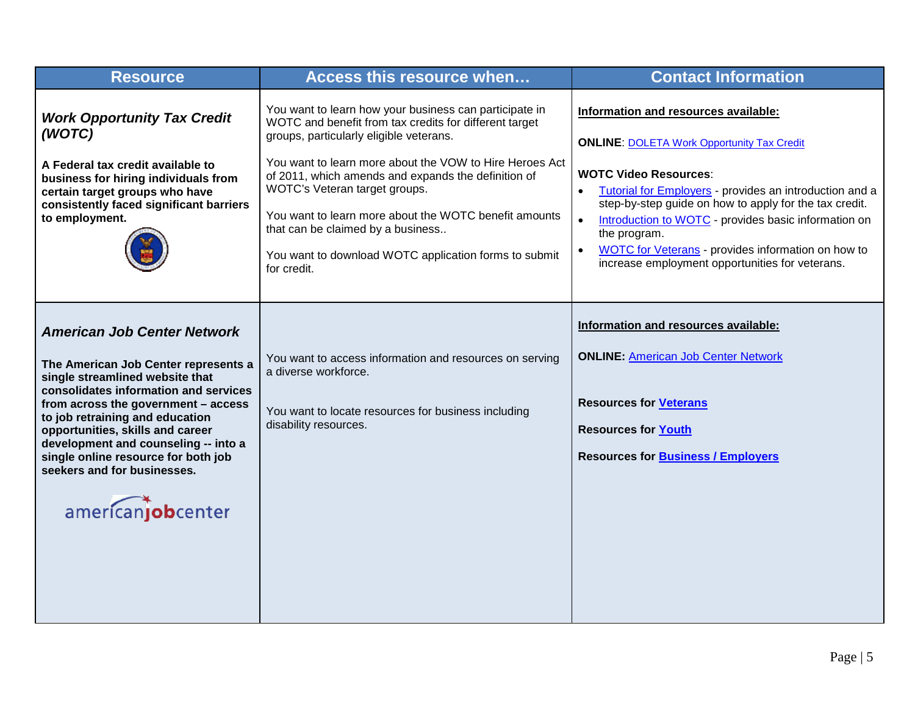| <b>Resource</b>                                                                                                                                                                                                                                                                                                                                                                                         | Access this resource when                                                                                                                                                                                                                                                                                                                                                                                                                                                            | <b>Contact Information</b>                                                                                                                                                                                                                                                                                                                                                                                                                                             |
|---------------------------------------------------------------------------------------------------------------------------------------------------------------------------------------------------------------------------------------------------------------------------------------------------------------------------------------------------------------------------------------------------------|--------------------------------------------------------------------------------------------------------------------------------------------------------------------------------------------------------------------------------------------------------------------------------------------------------------------------------------------------------------------------------------------------------------------------------------------------------------------------------------|------------------------------------------------------------------------------------------------------------------------------------------------------------------------------------------------------------------------------------------------------------------------------------------------------------------------------------------------------------------------------------------------------------------------------------------------------------------------|
| <b>Work Opportunity Tax Credit</b><br>(WOTC)<br>A Federal tax credit available to<br>business for hiring individuals from<br>certain target groups who have<br>consistently faced significant barriers<br>to employment.                                                                                                                                                                                | You want to learn how your business can participate in<br>WOTC and benefit from tax credits for different target<br>groups, particularly eligible veterans.<br>You want to learn more about the VOW to Hire Heroes Act<br>of 2011, which amends and expands the definition of<br>WOTC's Veteran target groups.<br>You want to learn more about the WOTC benefit amounts<br>that can be claimed by a business<br>You want to download WOTC application forms to submit<br>for credit. | Information and resources available:<br><b>ONLINE: DOLETA Work Opportunity Tax Credit</b><br><b>WOTC Video Resources:</b><br>Tutorial for Employers - provides an introduction and a<br>$\bullet$<br>step-by-step guide on how to apply for the tax credit.<br>Introduction to WOTC - provides basic information on<br>$\bullet$<br>the program.<br>WOTC for Veterans - provides information on how to<br>$\bullet$<br>increase employment opportunities for veterans. |
| <b>American Job Center Network</b><br>The American Job Center represents a<br>single streamlined website that<br>consolidates information and services<br>from across the government - access<br>to job retraining and education<br>opportunities, skills and career<br>development and counseling -- into a<br>single online resource for both job<br>seekers and for businesses.<br>americanjobcenter | You want to access information and resources on serving<br>a diverse workforce.<br>You want to locate resources for business including<br>disability resources.                                                                                                                                                                                                                                                                                                                      | Information and resources available:<br><b>ONLINE: American Job Center Network</b><br><b>Resources for Veterans</b><br><b>Resources for Youth</b><br><b>Resources for Business / Employers</b>                                                                                                                                                                                                                                                                         |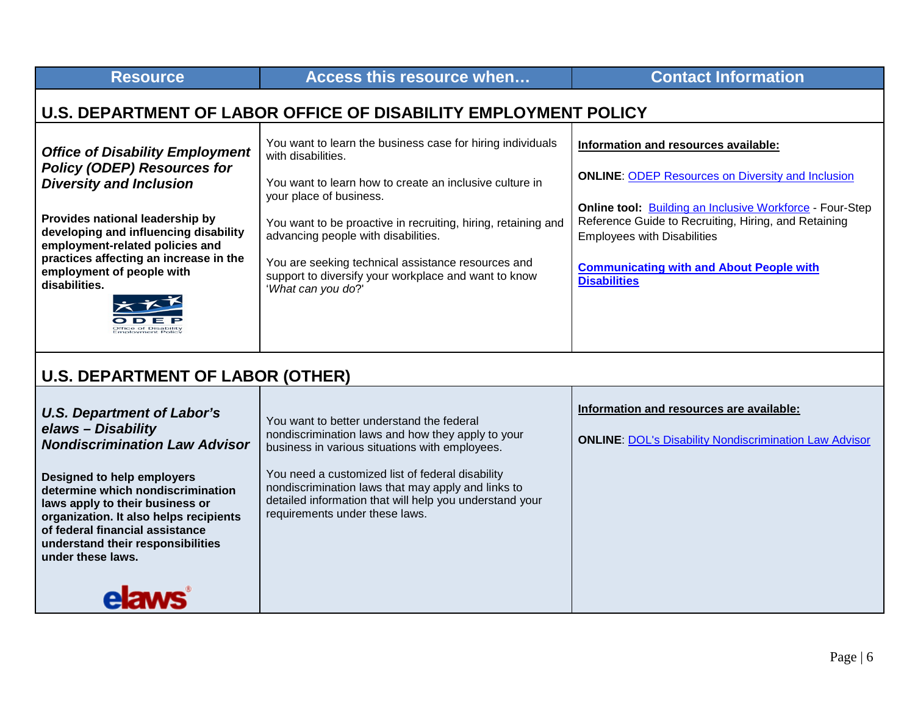<span id="page-5-0"></span>

| <b>Resource</b>                                                                                                                                                                                                                                                                                                       | Access this resource when                                                                                                                                                                                                                                                                                                                                                                                          | <b>Contact Information</b>                                                                                                                                                                                                                                                                                                                  |
|-----------------------------------------------------------------------------------------------------------------------------------------------------------------------------------------------------------------------------------------------------------------------------------------------------------------------|--------------------------------------------------------------------------------------------------------------------------------------------------------------------------------------------------------------------------------------------------------------------------------------------------------------------------------------------------------------------------------------------------------------------|---------------------------------------------------------------------------------------------------------------------------------------------------------------------------------------------------------------------------------------------------------------------------------------------------------------------------------------------|
| U.S. DEPARTMENT OF LABOR OFFICE OF DISABILITY EMPLOYMENT POLICY                                                                                                                                                                                                                                                       |                                                                                                                                                                                                                                                                                                                                                                                                                    |                                                                                                                                                                                                                                                                                                                                             |
| <b>Office of Disability Employment</b><br><b>Policy (ODEP) Resources for</b><br><b>Diversity and Inclusion</b><br>Provides national leadership by<br>developing and influencing disability<br>employment-related policies and<br>practices affecting an increase in the<br>employment of people with<br>disabilities. | You want to learn the business case for hiring individuals<br>with disabilities.<br>You want to learn how to create an inclusive culture in<br>your place of business.<br>You want to be proactive in recruiting, hiring, retaining and<br>advancing people with disabilities.<br>You are seeking technical assistance resources and<br>support to diversify your workplace and want to know<br>'What can you do?' | Information and resources available:<br><b>ONLINE: ODEP Resources on Diversity and Inclusion</b><br>Online tool: <b>Building an Inclusive Workforce</b> - Four-Step<br>Reference Guide to Recruiting, Hiring, and Retaining<br><b>Employees with Disabilities</b><br><b>Communicating with and About People with</b><br><b>Disabilities</b> |
| <b>U.S. DEPARTMENT OF LABOR (OTHER)</b>                                                                                                                                                                                                                                                                               |                                                                                                                                                                                                                                                                                                                                                                                                                    |                                                                                                                                                                                                                                                                                                                                             |
| <b>U.S. Department of Labor's</b><br>elaws - Disability<br><b>Nondiscrimination Law Advisor</b><br>Designed to help employers<br>determine which nondiscrimination                                                                                                                                                    | You want to better understand the federal<br>nondiscrimination laws and how they apply to your<br>business in various situations with employees.<br>You need a customized list of federal disability<br>nondiscrimination laws that may apply and links to                                                                                                                                                         | Information and resources are available:<br><b>ONLINE: DOL's Disability Nondiscrimination Law Advisor</b>                                                                                                                                                                                                                                   |

<span id="page-5-1"></span>**determine which nondiscrimination laws apply to their business or organization. It also helps recipients of federal financial assistance understand their responsibilities under these laws.**

requirements under these laws. **elaws** 

detailed information that will help you understand your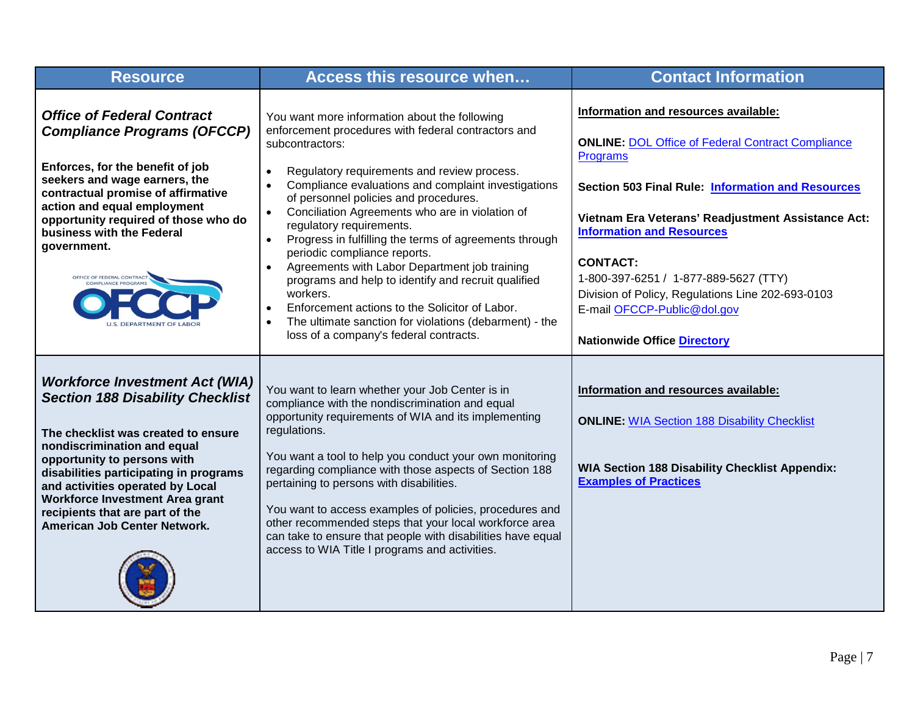| <b>Resource</b>                                                                                                                                                                                                                                                                                                                                                           | Access this resource when                                                                                                                                                                                                                                                                                                                                                                                                                                                                                                                                                                                                                                                                                                                                                                                            | <b>Contact Information</b>                                                                                                                                                                                                                                                                                                                                                                                                                               |
|---------------------------------------------------------------------------------------------------------------------------------------------------------------------------------------------------------------------------------------------------------------------------------------------------------------------------------------------------------------------------|----------------------------------------------------------------------------------------------------------------------------------------------------------------------------------------------------------------------------------------------------------------------------------------------------------------------------------------------------------------------------------------------------------------------------------------------------------------------------------------------------------------------------------------------------------------------------------------------------------------------------------------------------------------------------------------------------------------------------------------------------------------------------------------------------------------------|----------------------------------------------------------------------------------------------------------------------------------------------------------------------------------------------------------------------------------------------------------------------------------------------------------------------------------------------------------------------------------------------------------------------------------------------------------|
| <b>Office of Federal Contract</b><br><b>Compliance Programs (OFCCP)</b><br>Enforces, for the benefit of job<br>seekers and wage earners, the<br>contractual promise of affirmative<br>action and equal employment<br>opportunity required of those who do<br>business with the Federal<br>government.<br>OFFICE OF FEDERAL CONTRACT                                       | You want more information about the following<br>enforcement procedures with federal contractors and<br>subcontractors:<br>Regulatory requirements and review process.<br>$\bullet$<br>Compliance evaluations and complaint investigations<br>$\bullet$<br>of personnel policies and procedures.<br>Conciliation Agreements who are in violation of<br>$\bullet$<br>regulatory requirements.<br>Progress in fulfilling the terms of agreements through<br>$\bullet$<br>periodic compliance reports.<br>Agreements with Labor Department job training<br>$\bullet$<br>programs and help to identify and recruit qualified<br>workers.<br>Enforcement actions to the Solicitor of Labor.<br>$\bullet$<br>The ultimate sanction for violations (debarment) - the<br>$\bullet$<br>loss of a company's federal contracts. | Information and resources available:<br><b>ONLINE: DOL Office of Federal Contract Compliance</b><br>Programs<br><b>Section 503 Final Rule: Information and Resources</b><br>Vietnam Era Veterans' Readjustment Assistance Act:<br><b>Information and Resources</b><br><b>CONTACT:</b><br>1-800-397-6251 / 1-877-889-5627 (TTY)<br>Division of Policy, Regulations Line 202-693-0103<br>E-mail OFCCP-Public@dol.gov<br><b>Nationwide Office Directory</b> |
| <b>Workforce Investment Act (WIA)</b><br><b>Section 188 Disability Checklist</b><br>The checklist was created to ensure<br>nondiscrimination and equal<br>opportunity to persons with<br>disabilities participating in programs<br>and activities operated by Local<br>Workforce Investment Area grant<br>recipients that are part of the<br>American Job Center Network. | You want to learn whether your Job Center is in<br>compliance with the nondiscrimination and equal<br>opportunity requirements of WIA and its implementing<br>regulations.<br>You want a tool to help you conduct your own monitoring<br>regarding compliance with those aspects of Section 188<br>pertaining to persons with disabilities.<br>You want to access examples of policies, procedures and<br>other recommended steps that your local workforce area<br>can take to ensure that people with disabilities have equal<br>access to WIA Title I programs and activities.                                                                                                                                                                                                                                    | Information and resources available:<br><b>ONLINE: WIA Section 188 Disability Checklist</b><br><b>WIA Section 188 Disability Checklist Appendix:</b><br><b>Examples of Practices</b>                                                                                                                                                                                                                                                                     |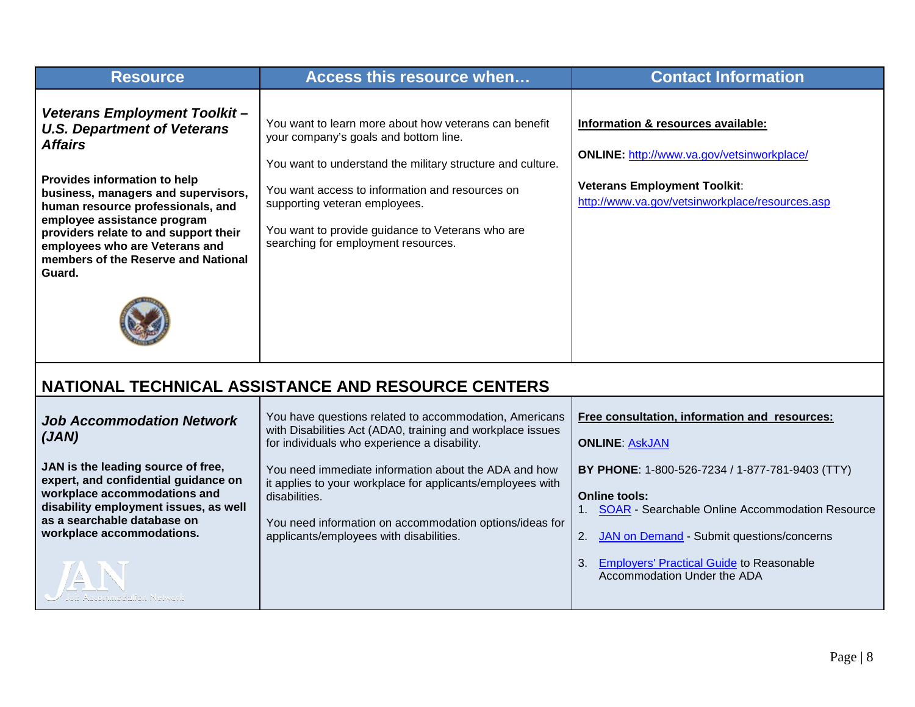<span id="page-7-0"></span>

| <b>Resource</b>                                                                                                                                                                                                                                                                                                                                             | Access this resource when                                                                                                                                                                                                                                                                                                                                                                                         | <b>Contact Information</b>                                                                                                                                                                                                                                     |
|-------------------------------------------------------------------------------------------------------------------------------------------------------------------------------------------------------------------------------------------------------------------------------------------------------------------------------------------------------------|-------------------------------------------------------------------------------------------------------------------------------------------------------------------------------------------------------------------------------------------------------------------------------------------------------------------------------------------------------------------------------------------------------------------|----------------------------------------------------------------------------------------------------------------------------------------------------------------------------------------------------------------------------------------------------------------|
| Veterans Employment Toolkit-<br><b>U.S. Department of Veterans</b><br><b>Affairs</b><br>Provides information to help<br>business, managers and supervisors,<br>human resource professionals, and<br>employee assistance program<br>providers relate to and support their<br>employees who are Veterans and<br>members of the Reserve and National<br>Guard. | You want to learn more about how veterans can benefit<br>your company's goals and bottom line.<br>You want to understand the military structure and culture.<br>You want access to information and resources on<br>supporting veteran employees.<br>You want to provide guidance to Veterans who are<br>searching for employment resources.                                                                       | Information & resources available:<br><b>ONLINE: http://www.va.gov/vetsinworkplace/</b><br><b>Veterans Employment Toolkit:</b><br>http://www.va.gov/vetsinworkplace/resources.asp                                                                              |
|                                                                                                                                                                                                                                                                                                                                                             | NATIONAL TECHNICAL ASSISTANCE AND RESOURCE CENTERS                                                                                                                                                                                                                                                                                                                                                                |                                                                                                                                                                                                                                                                |
| <b>Job Accommodation Network</b><br>(JAN)<br>JAN is the leading source of free,<br>expert, and confidential guidance on<br>workplace accommodations and<br>disability employment issues, as well<br>as a searchable database on<br>workplace accommodations.                                                                                                | You have questions related to accommodation, Americans<br>with Disabilities Act (ADA0, training and workplace issues<br>for individuals who experience a disability.<br>You need immediate information about the ADA and how<br>it applies to your workplace for applicants/employees with<br>disabilities.<br>You need information on accommodation options/ideas for<br>applicants/employees with disabilities. | Free consultation, information and resources:<br><b>ONLINE: AskJAN</b><br>BY PHONE: 1-800-526-7234 / 1-877-781-9403 (TTY)<br><b>Online tools:</b><br>1. <b>SOAR</b> - Searchable Online Accommodation Resource<br>2. JAN on Demand - Submit questions/concerns |
| scommodation Network                                                                                                                                                                                                                                                                                                                                        |                                                                                                                                                                                                                                                                                                                                                                                                                   | <b>Employers' Practical Guide to Reasonable</b><br>3.<br>Accommodation Under the ADA                                                                                                                                                                           |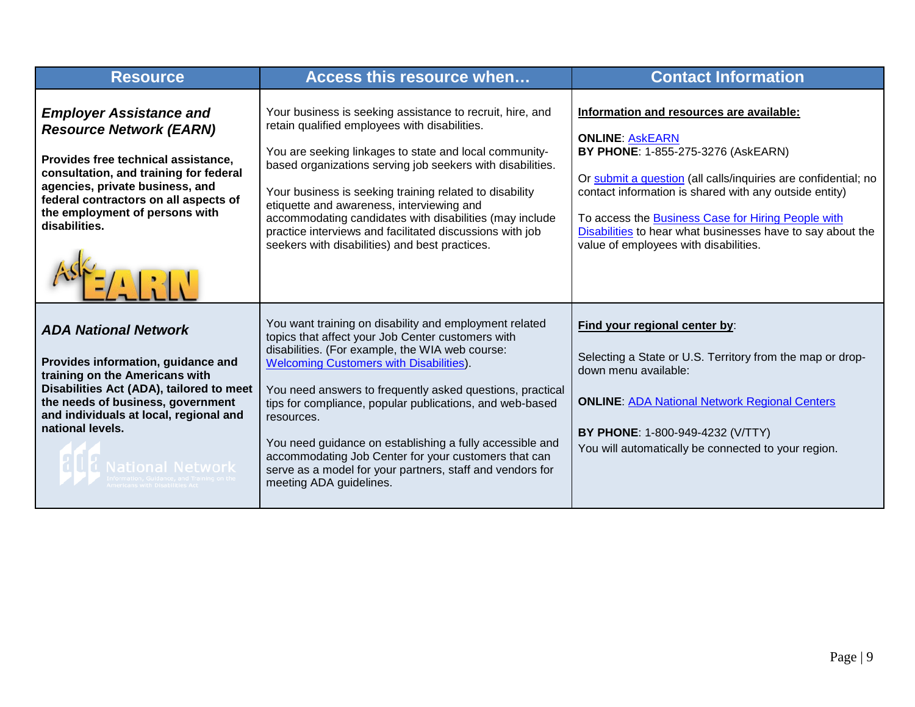| <b>Resource</b>                                                                                                                                                                                                                                                                   | Access this resource when                                                                                                                                                                                                                                                                                                                                                                                                                                                                                                                                           | <b>Contact Information</b>                                                                                                                                                                                                                                                                                                                                                                        |
|-----------------------------------------------------------------------------------------------------------------------------------------------------------------------------------------------------------------------------------------------------------------------------------|---------------------------------------------------------------------------------------------------------------------------------------------------------------------------------------------------------------------------------------------------------------------------------------------------------------------------------------------------------------------------------------------------------------------------------------------------------------------------------------------------------------------------------------------------------------------|---------------------------------------------------------------------------------------------------------------------------------------------------------------------------------------------------------------------------------------------------------------------------------------------------------------------------------------------------------------------------------------------------|
| <b>Employer Assistance and</b><br><b>Resource Network (EARN)</b><br>Provides free technical assistance,<br>consultation, and training for federal<br>agencies, private business, and<br>federal contractors on all aspects of<br>the employment of persons with<br>disabilities.  | Your business is seeking assistance to recruit, hire, and<br>retain qualified employees with disabilities.<br>You are seeking linkages to state and local community-<br>based organizations serving job seekers with disabilities.<br>Your business is seeking training related to disability<br>etiquette and awareness, interviewing and<br>accommodating candidates with disabilities (may include<br>practice interviews and facilitated discussions with job<br>seekers with disabilities) and best practices.                                                 | Information and resources are available:<br><b>ONLINE: ASKEARN</b><br>BY PHONE: 1-855-275-3276 (AskEARN)<br>Or submit a question (all calls/inquiries are confidential; no<br>contact information is shared with any outside entity)<br>To access the Business Case for Hiring People with<br>Disabilities to hear what businesses have to say about the<br>value of employees with disabilities. |
| <b>ADA National Network</b><br>Provides information, guidance and<br>training on the Americans with<br>Disabilities Act (ADA), tailored to meet<br>the needs of business, government<br>and individuals at local, regional and<br>national levels.<br><b>HUL National Network</b> | You want training on disability and employment related<br>topics that affect your Job Center customers with<br>disabilities. (For example, the WIA web course:<br><b>Welcoming Customers with Disabilities).</b><br>You need answers to frequently asked questions, practical<br>tips for compliance, popular publications, and web-based<br>resources.<br>You need guidance on establishing a fully accessible and<br>accommodating Job Center for your customers that can<br>serve as a model for your partners, staff and vendors for<br>meeting ADA guidelines. | Find your regional center by:<br>Selecting a State or U.S. Territory from the map or drop-<br>down menu available:<br><b>ONLINE: ADA National Network Regional Centers</b><br>BY PHONE: 1-800-949-4232 (V/TTY)<br>You will automatically be connected to your region.                                                                                                                             |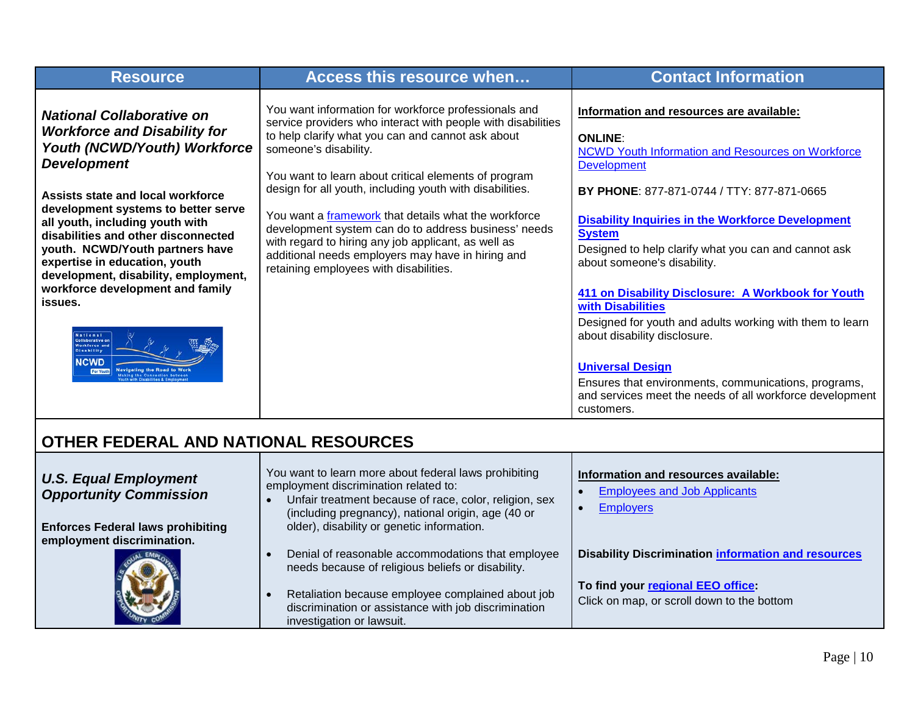| <b>Resource</b>                                                                                                                                                                                                                                                                                                                                                                                                                                                                                                                                   | Access this resource when                                                                                                                                                                                                                                                                                                                                                                                                                                                                                                                                                                    | <b>Contact Information</b>                                                                                                                                                                                                                                                                                                                                                                                                                                                                                                                                                                                                                                                                  |
|---------------------------------------------------------------------------------------------------------------------------------------------------------------------------------------------------------------------------------------------------------------------------------------------------------------------------------------------------------------------------------------------------------------------------------------------------------------------------------------------------------------------------------------------------|----------------------------------------------------------------------------------------------------------------------------------------------------------------------------------------------------------------------------------------------------------------------------------------------------------------------------------------------------------------------------------------------------------------------------------------------------------------------------------------------------------------------------------------------------------------------------------------------|---------------------------------------------------------------------------------------------------------------------------------------------------------------------------------------------------------------------------------------------------------------------------------------------------------------------------------------------------------------------------------------------------------------------------------------------------------------------------------------------------------------------------------------------------------------------------------------------------------------------------------------------------------------------------------------------|
| <b>National Collaborative on</b><br><b>Workforce and Disability for</b><br>Youth (NCWD/Youth) Workforce<br><b>Development</b><br>Assists state and local workforce<br>development systems to better serve<br>all youth, including youth with<br>disabilities and other disconnected<br>youth. NCWD/Youth partners have<br>expertise in education, youth<br>development, disability, employment,<br>workforce development and family<br>issues.<br><b>National</b><br><b>Collaborative on</b><br>Workforce and<br><b>Disability</b><br><b>NCWD</b> | You want information for workforce professionals and<br>service providers who interact with people with disabilities<br>to help clarify what you can and cannot ask about<br>someone's disability.<br>You want to learn about critical elements of program<br>design for all youth, including youth with disabilities.<br>You want a framework that details what the workforce<br>development system can do to address business' needs<br>with regard to hiring any job applicant, as well as<br>additional needs employers may have in hiring and<br>retaining employees with disabilities. | Information and resources are available:<br><b>ONLINE:</b><br>NCWD Youth Information and Resources on Workforce<br><b>Development</b><br>BY PHONE: 877-871-0744 / TTY: 877-871-0665<br><b>Disability Inquiries in the Workforce Development</b><br><b>System</b><br>Designed to help clarify what you can and cannot ask<br>about someone's disability.<br>411 on Disability Disclosure: A Workbook for Youth<br>with Disabilities<br>Designed for youth and adults working with them to learn<br>about disability disclosure.<br><b>Universal Design</b><br>Ensures that environments, communications, programs,<br>and services meet the needs of all workforce development<br>customers. |
| OTHER FEDERAL AND NATIONAL RESOURCES                                                                                                                                                                                                                                                                                                                                                                                                                                                                                                              |                                                                                                                                                                                                                                                                                                                                                                                                                                                                                                                                                                                              |                                                                                                                                                                                                                                                                                                                                                                                                                                                                                                                                                                                                                                                                                             |
| <b>U.S. Equal Employment</b><br><b>Opportunity Commission</b><br><b>Enforces Federal laws prohibiting</b><br>employment discrimination.                                                                                                                                                                                                                                                                                                                                                                                                           | You want to learn more about federal laws prohibiting<br>employment discrimination related to:<br>Unfair treatment because of race, color, religion, sex<br>(including pregnancy), national origin, age (40 or<br>older), disability or genetic information.                                                                                                                                                                                                                                                                                                                                 | Information and resources available:<br><b>Employees and Job Applicants</b><br><b>Employers</b>                                                                                                                                                                                                                                                                                                                                                                                                                                                                                                                                                                                             |

• Denial of reasonable accommodations that employee needs because of religious beliefs or disability.

• Retaliation because employee complained about job discrimination or assistance with job discrimination

investigation or lawsuit.

<span id="page-9-0"></span>

**Disability Discrimination [information and resources](http://www.eeoc.gov/laws/types/disability.cfm)**

**To find your [regional EEO office:](http://www.eeoc.gov/field/index.cfm)** Click on map, or scroll down to the bottom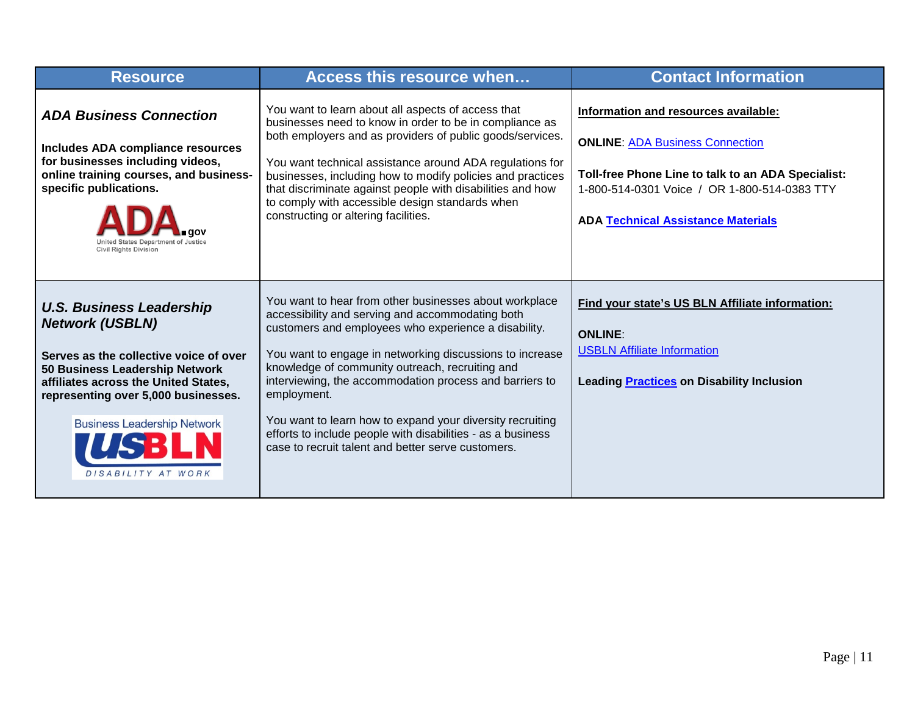| <b>Resource</b>                                                                                                                                                                                                                                                                  | <b>Access this resource when</b>                                                                                                                                                                                                                                                                                                                                                                                                                                                                                                              | <b>Contact Information</b>                                                                                                                                                                                                        |
|----------------------------------------------------------------------------------------------------------------------------------------------------------------------------------------------------------------------------------------------------------------------------------|-----------------------------------------------------------------------------------------------------------------------------------------------------------------------------------------------------------------------------------------------------------------------------------------------------------------------------------------------------------------------------------------------------------------------------------------------------------------------------------------------------------------------------------------------|-----------------------------------------------------------------------------------------------------------------------------------------------------------------------------------------------------------------------------------|
| <b>ADA Business Connection</b><br>Includes ADA compliance resources<br>for businesses including videos,<br>online training courses, and business-<br>specific publications.<br><b>Civil Rights Division</b>                                                                      | You want to learn about all aspects of access that<br>businesses need to know in order to be in compliance as<br>both employers and as providers of public goods/services.<br>You want technical assistance around ADA regulations for<br>businesses, including how to modify policies and practices<br>that discriminate against people with disabilities and how<br>to comply with accessible design standards when<br>constructing or altering facilities.                                                                                 | Information and resources available:<br><b>ONLINE: ADA Business Connection</b><br>Toll-free Phone Line to talk to an ADA Specialist:<br>1-800-514-0301 Voice / OR 1-800-514-0383 TTY<br><b>ADA Technical Assistance Materials</b> |
| <b>U.S. Business Leadership</b><br><b>Network (USBLN)</b><br>Serves as the collective voice of over<br>50 Business Leadership Network<br>affiliates across the United States,<br>representing over 5,000 businesses.<br><b>Business Leadership Network</b><br>DISABILITY AT WORK | You want to hear from other businesses about workplace<br>accessibility and serving and accommodating both<br>customers and employees who experience a disability.<br>You want to engage in networking discussions to increase<br>knowledge of community outreach, recruiting and<br>interviewing, the accommodation process and barriers to<br>employment.<br>You want to learn how to expand your diversity recruiting<br>efforts to include people with disabilities - as a business<br>case to recruit talent and better serve customers. | Find your state's US BLN Affiliate information:<br><b>ONLINE:</b><br><b>USBLN Affiliate Information</b><br><b>Leading Practices on Disability Inclusion</b>                                                                       |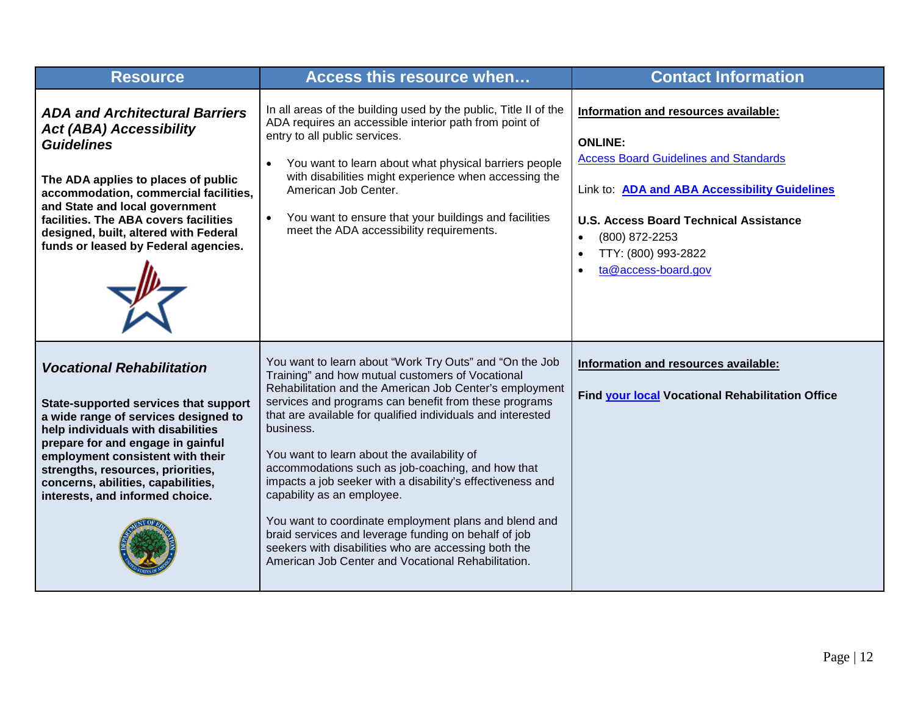| <b>Resource</b>                                                                                                                                                                                                                                                                                                                                | Access this resource when                                                                                                                                                                                                                                                                                                                                                                                                                                                                                                                                                                                                                                                                                                                  | <b>Contact Information</b>                                                                                                                                                                                                                                                            |
|------------------------------------------------------------------------------------------------------------------------------------------------------------------------------------------------------------------------------------------------------------------------------------------------------------------------------------------------|--------------------------------------------------------------------------------------------------------------------------------------------------------------------------------------------------------------------------------------------------------------------------------------------------------------------------------------------------------------------------------------------------------------------------------------------------------------------------------------------------------------------------------------------------------------------------------------------------------------------------------------------------------------------------------------------------------------------------------------------|---------------------------------------------------------------------------------------------------------------------------------------------------------------------------------------------------------------------------------------------------------------------------------------|
| <b>ADA and Architectural Barriers</b><br><b>Act (ABA) Accessibility</b><br><b>Guidelines</b><br>The ADA applies to places of public<br>accommodation, commercial facilities,<br>and State and local government<br>facilities. The ABA covers facilities<br>designed, built, altered with Federal<br>funds or leased by Federal agencies.       | In all areas of the building used by the public, Title II of the<br>ADA requires an accessible interior path from point of<br>entry to all public services.<br>You want to learn about what physical barriers people<br>$\bullet$<br>with disabilities might experience when accessing the<br>American Job Center.<br>You want to ensure that your buildings and facilities<br>$\bullet$<br>meet the ADA accessibility requirements.                                                                                                                                                                                                                                                                                                       | Information and resources available:<br><b>ONLINE:</b><br><b>Access Board Guidelines and Standards</b><br>Link to: ADA and ABA Accessibility Guidelines<br><b>U.S. Access Board Technical Assistance</b><br>(800) 872-2253<br>$\bullet$<br>TTY: (800) 993-2822<br>ta@access-board.gov |
| <b>Vocational Rehabilitation</b><br>State-supported services that support<br>a wide range of services designed to<br>help individuals with disabilities<br>prepare for and engage in gainful<br>employment consistent with their<br>strengths, resources, priorities,<br>concerns, abilities, capabilities,<br>interests, and informed choice. | You want to learn about "Work Try Outs" and "On the Job<br>Training" and how mutual customers of Vocational<br>Rehabilitation and the American Job Center's employment<br>services and programs can benefit from these programs<br>that are available for qualified individuals and interested<br>business.<br>You want to learn about the availability of<br>accommodations such as job-coaching, and how that<br>impacts a job seeker with a disability's effectiveness and<br>capability as an employee.<br>You want to coordinate employment plans and blend and<br>braid services and leverage funding on behalf of job<br>seekers with disabilities who are accessing both the<br>American Job Center and Vocational Rehabilitation. | Information and resources available:<br>Find your local Vocational Rehabilitation Office                                                                                                                                                                                              |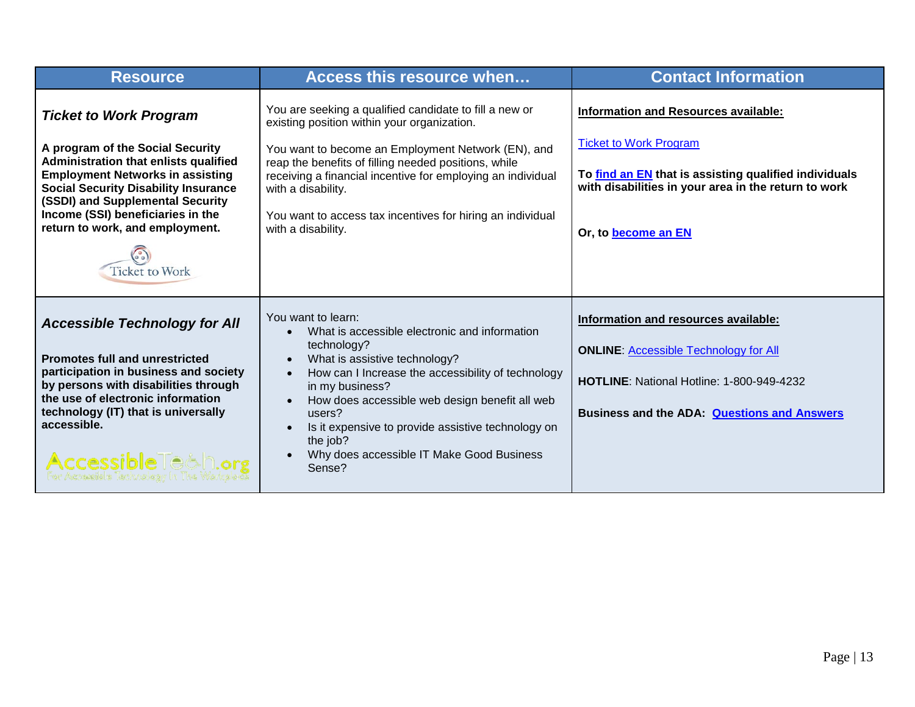| <b>Resource</b>                                                                                                                                                                                                                                                                                                                    | Access this resource when                                                                                                                                                                                                                                                                                                                                                                                                                          | <b>Contact Information</b>                                                                                                                                                                                           |
|------------------------------------------------------------------------------------------------------------------------------------------------------------------------------------------------------------------------------------------------------------------------------------------------------------------------------------|----------------------------------------------------------------------------------------------------------------------------------------------------------------------------------------------------------------------------------------------------------------------------------------------------------------------------------------------------------------------------------------------------------------------------------------------------|----------------------------------------------------------------------------------------------------------------------------------------------------------------------------------------------------------------------|
| <b>Ticket to Work Program</b><br>A program of the Social Security<br>Administration that enlists qualified<br><b>Employment Networks in assisting</b><br><b>Social Security Disability Insurance</b><br>(SSDI) and Supplemental Security<br>Income (SSI) beneficiaries in the<br>return to work, and employment.<br>Ticket to Work | You are seeking a qualified candidate to fill a new or<br>existing position within your organization.<br>You want to become an Employment Network (EN), and<br>reap the benefits of filling needed positions, while<br>receiving a financial incentive for employing an individual<br>with a disability.<br>You want to access tax incentives for hiring an individual<br>with a disability.                                                       | <b>Information and Resources available:</b><br><b>Ticket to Work Program</b><br>To find an EN that is assisting qualified individuals<br>with disabilities in your area in the return to work<br>Or, to become an EN |
| <b>Accessible Technology for All</b><br><b>Promotes full and unrestricted</b><br>participation in business and society<br>by persons with disabilities through<br>the use of electronic information<br>technology (IT) that is universally<br>accessible.<br>Accessible Te&n.org                                                   | You want to learn:<br>What is accessible electronic and information<br>$\bullet$<br>technology?<br>What is assistive technology?<br>$\bullet$<br>How can I Increase the accessibility of technology<br>$\bullet$<br>in my business?<br>How does accessible web design benefit all web<br>$\bullet$<br>users?<br>Is it expensive to provide assistive technology on<br>$\bullet$<br>the job?<br>Why does accessible IT Make Good Business<br>Sense? | Information and resources available:<br><b>ONLINE: Accessible Technology for All</b><br>HOTLINE: National Hotline: 1-800-949-4232<br><b>Business and the ADA: Questions and Answers</b>                              |